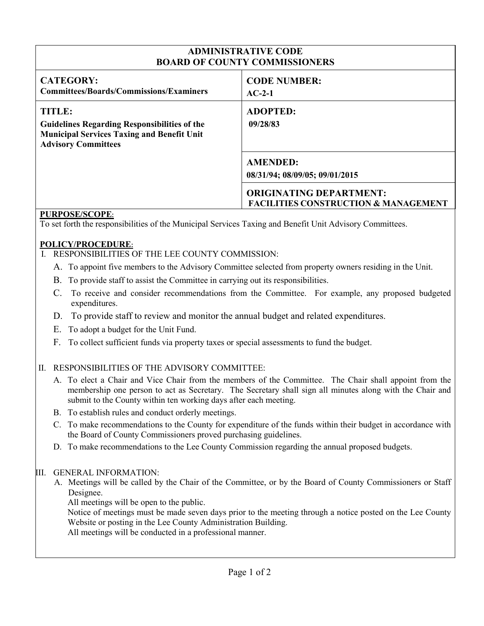## **ADMINISTRATIVE CODE BOARD OF COUNTY COMMISSIONERS**

| <b>CODE NUMBER:</b><br>$AC-2-1$                                                                                                        |
|----------------------------------------------------------------------------------------------------------------------------------------|
| <b>ADOPTED:</b><br>09/28/83                                                                                                            |
| <b>AMENDED:</b><br>08/31/94; 08/09/05; 09/01/2015<br><b>ORIGINATING DEPARTMENT:</b><br><b>FACILITIES CONSTRUCTION &amp; MANAGEMENT</b> |
|                                                                                                                                        |

### **PURPOSE/SCOPE:**

To set forth the responsibilities of the Municipal Services Taxing and Benefit Unit Advisory Committees.

#### **POLICY/PROCEDURE:**

- I. RESPONSIBILITIES OF THE LEE COUNTY COMMISSION:
	- A. To appoint five members to the Advisory Committee selected from property owners residing in the Unit.
	- B. To provide staff to assist the Committee in carrying out its responsibilities.
	- C. To receive and consider recommendations from the Committee. For example, any proposed budgeted expenditures.
	- D. To provide staff to review and monitor the annual budget and related expenditures.
	- E. To adopt a budget for the Unit Fund.
	- F. To collect sufficient funds via property taxes or special assessments to fund the budget.

## II. RESPONSIBILITIES OF THE ADVISORY COMMITTEE:

- A. To elect a Chair and Vice Chair from the members of the Committee. The Chair shall appoint from the membership one person to act as Secretary. The Secretary shall sign all minutes along with the Chair and submit to the County within ten working days after each meeting.
- B. To establish rules and conduct orderly meetings.
- C. To make recommendations to the County for expenditure of the funds within their budget in accordance with the Board of County Commissioners proved purchasing guidelines.
- D. To make recommendations to the Lee County Commission regarding the annual proposed budgets.

#### III. GENERAL INFORMATION:

A. Meetings will be called by the Chair of the Committee, or by the Board of County Commissioners or Staff Designee.

All meetings will be open to the public.

Notice of meetings must be made seven days prior to the meeting through a notice posted on the Lee County Website or posting in the Lee County Administration Building.

All meetings will be conducted in a professional manner.